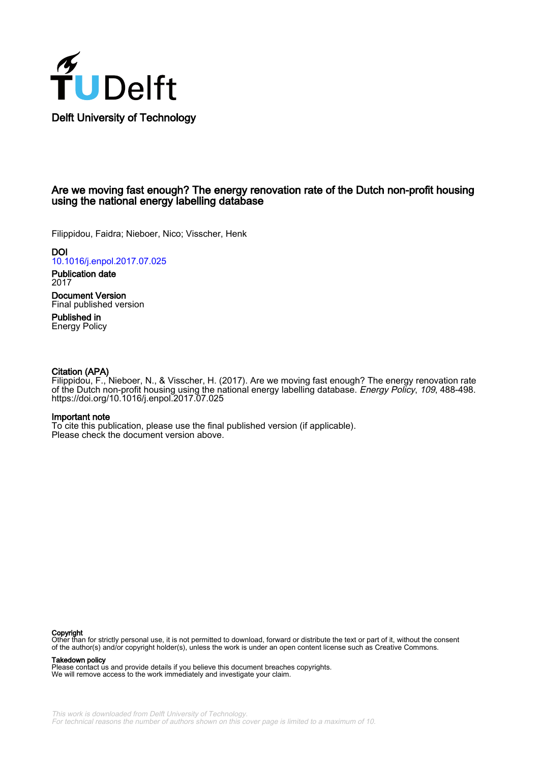

# Are we moving fast enough? The energy renovation rate of the Dutch non-profit housing using the national energy labelling database

Filippidou, Faidra; Nieboer, Nico; Visscher, Henk

**DOI** [10.1016/j.enpol.2017.07.025](https://doi.org/10.1016/j.enpol.2017.07.025)

Publication date 2017

Document Version Final published version

Published in Energy Policy

## Citation (APA)

Filippidou, F., Nieboer, N., & Visscher, H. (2017). Are we moving fast enough? The energy renovation rate of the Dutch non-profit housing using the national energy labelling database. Energy Policy, 109, 488-498. <https://doi.org/10.1016/j.enpol.2017.07.025>

## Important note

To cite this publication, please use the final published version (if applicable). Please check the document version above.

#### Copyright

Other than for strictly personal use, it is not permitted to download, forward or distribute the text or part of it, without the consent of the author(s) and/or copyright holder(s), unless the work is under an open content license such as Creative Commons.

### Takedown policy

Please contact us and provide details if you believe this document breaches copyrights. We will remove access to the work immediately and investigate your claim.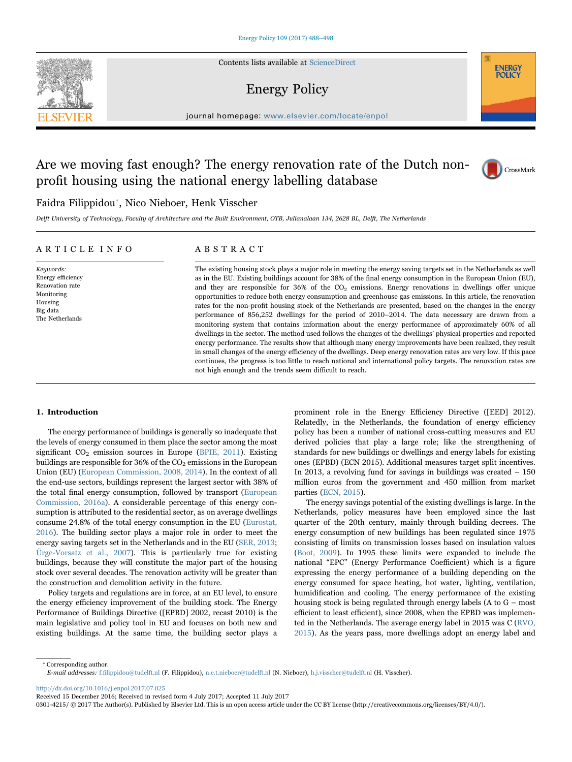Contents lists available at [ScienceDirect](http://www.sciencedirect.com/science/journal/03014215)

# Energy Policy

journal homepage: [www.elsevier.com/locate/enpol](http://www.elsevier.com/locate/enpol)

# Are we moving fast enough? The energy renovation rate of the Dutch nonprofit housing using the national energy labelling database



**NERGY** POLIC<sup>1</sup>

# Faidra Filippidou⁎ [, Nico Nieboer, Henk Visscher](#page-1-0)

Delft University of Technology, Faculty of Architecture and the Built Environment, OTB, Julianalaan 134, 2628 BL, Delft, The Netherlands

## ARTICLE INFO

Keywords: Energy efficiency Renovation rate Monitoring Housing Big data The Netherlands

# ABSTRACT

The existing housing stock plays a major role in meeting the energy saving targets set in the Netherlands as well as in the EU. Existing buildings account for 38% of the final energy consumption in the European Union (EU), and they are responsible for  $36\%$  of the CO<sub>2</sub> emissions. Energy renovations in dwellings offer unique opportunities to reduce both energy consumption and greenhouse gas emissions. In this article, the renovation rates for the non-profit housing stock of the Netherlands are presented, based on the changes in the energy performance of 856,252 dwellings for the period of 2010–2014. The data necessary are drawn from a monitoring system that contains information about the energy performance of approximately 60% of all dwellings in the sector. The method used follows the changes of the dwellings' physical properties and reported energy performance. The results show that although many energy improvements have been realized, they result in small changes of the energy efficiency of the dwellings. Deep energy renovation rates are very low. If this pace continues, the progress is too little to reach national and international policy targets. The renovation rates are not high enough and the trends seem difficult to reach.

## 1. Introduction

The energy performance of buildings is generally so inadequate that the levels of energy consumed in them place the sector among the most significant  $CO<sub>2</sub>$  emission sources in Europe ([BPIE, 2011](#page-10-0)). Existing buildings are responsible for  $36\%$  of the  $CO<sub>2</sub>$  emissions in the European Union (EU) ([European Commission, 2008, 2014\)](#page-11-0). In the context of all the end-use sectors, buildings represent the largest sector with 38% of the total final energy consumption, followed by transport [\(European](#page-11-1) [Commission, 2016a](#page-11-1)). A considerable percentage of this energy consumption is attributed to the residential sector, as on average dwellings consume 24.8% of the total energy consumption in the EU [\(Eurostat,](#page-11-2) [2016\)](#page-11-2). The building sector plays a major role in order to meet the energy saving targets set in the Netherlands and in the EU ([SER, 2013](#page-11-3); [Ürge-Vorsatz et al., 2007](#page-11-4)). This is particularly true for existing buildings, because they will constitute the major part of the housing stock over several decades. The renovation activity will be greater than the construction and demolition activity in the future.

Policy targets and regulations are in force, at an EU level, to ensure the energy efficiency improvement of the building stock. The Energy Performance of Buildings Directive ([EPBD] 2002, recast 2010) is the main legislative and policy tool in EU and focuses on both new and existing buildings. At the same time, the building sector plays a

prominent role in the Energy Efficiency Directive ([EED] 2012). Relatedly, in the Netherlands, the foundation of energy efficiency policy has been a number of national cross-cutting measures and EU derived policies that play a large role; like the strengthening of standards for new buildings or dwellings and energy labels for existing ones (EPBD) (ECN 2015). Additional measures target split incentives. In 2013, a revolving fund for savings in buildings was created  $-150$ million euros from the government and 450 million from market parties [\(ECN, 2015\)](#page-10-1).

The energy savings potential of the existing dwellings is large. In the Netherlands, policy measures have been employed since the last quarter of the 20th century, mainly through building decrees. The energy consumption of new buildings has been regulated since 1975 consisting of limits on transmission losses based on insulation values ([Boot, 2009\)](#page-10-2). In 1995 these limits were expanded to include the national "EPC" (Energy Performance Coefficient) which is a figure expressing the energy performance of a building depending on the energy consumed for space heating, hot water, lighting, ventilation, humidification and cooling. The energy performance of the existing housing stock is being regulated through energy labels (A to G – most efficient to least efficient), since 2008, when the EPBD was implemented in the Netherlands. The average energy label in 2015 was C ([RVO,](#page-11-5) [2015\)](#page-11-5). As the years pass, more dwellings adopt an energy label and

<span id="page-1-0"></span>⁎ Corresponding author. E-mail addresses: f.filippidou@tudelft.nl (F. Filippidou), n.e.t.nieboer@tudelft.nl (N. Nieboer), h.j.visscher@tudelft.nl (H. Visscher).

<http://dx.doi.org/10.1016/j.enpol.2017.07.025>

Received 15 December 2016; Received in revised form 4 July 2017; Accepted 11 July 2017

0301-4215/ © 2017 The Author(s). Published by Elsevier Ltd. This is an open access article under the CC BY license (http://creativecommons.org/licenses/BY/4.0/).

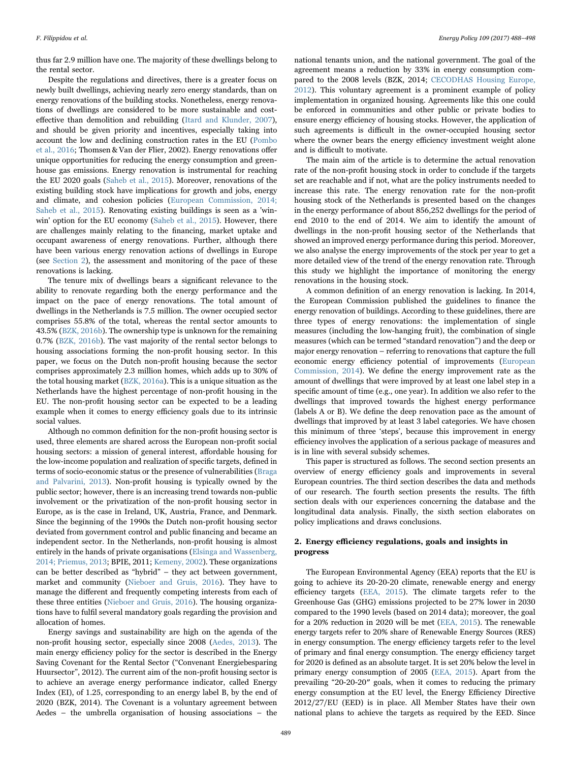thus far 2.9 million have one. The majority of these dwellings belong to the rental sector.

Despite the regulations and directives, there is a greater focus on newly built dwellings, achieving nearly zero energy standards, than on energy renovations of the building stocks. Nonetheless, energy renovations of dwellings are considered to be more sustainable and costeffective than demolition and rebuilding ([Itard and Klunder, 2007\)](#page-11-6), and should be given priority and incentives, especially taking into account the low and declining construction rates in the EU ([Pombo](#page-11-7) [et al., 2016](#page-11-7); Thomsen & Van der Flier, 2002). Energy renovations offer unique opportunities for reducing the energy consumption and greenhouse gas emissions. Energy renovation is instrumental for reaching the EU 2020 goals ([Saheb et al., 2015\)](#page-11-8). Moreover, renovations of the existing building stock have implications for growth and jobs, energy and climate, and cohesion policies ([European Commission, 2014;](#page-11-9) [Saheb et al., 2015\)](#page-11-9). Renovating existing buildings is seen as a 'winwin' option for the EU economy [\(Saheb et al., 2015\)](#page-11-8). However, there are challenges mainly relating to the financing, market uptake and occupant awareness of energy renovations. Further, although there have been various energy renovation actions of dwellings in Europe (see [Section 2](#page-2-0)), the assessment and monitoring of the pace of these renovations is lacking.

The tenure mix of dwellings bears a significant relevance to the ability to renovate regarding both the energy performance and the impact on the pace of energy renovations. The total amount of dwellings in the Netherlands is 7.5 million. The owner occupied sector comprises 55.8% of the total, whereas the rental sector amounts to 43.5% ([BZK, 2016b\)](#page-10-3). The ownership type is unknown for the remaining 0.7% [\(BZK, 2016b](#page-10-3)). The vast majority of the rental sector belongs to housing associations forming the non-profit housing sector. In this paper, we focus on the Dutch non-profit housing because the sector comprises approximately 2.3 million homes, which adds up to 30% of the total housing market ([BZK, 2016a](#page-10-4)). This is a unique situation as the Netherlands have the highest percentage of non-profit housing in the EU. The non-profit housing sector can be expected to be a leading example when it comes to energy efficiency goals due to its intrinsic social values.

Although no common definition for the non-profit housing sector is used, three elements are shared across the European non-profit social housing sectors: a mission of general interest, affordable housing for the low-income population and realization of specific targets, defined in terms of socio-economic status or the presence of vulnerabilities [\(Braga](#page-10-5) [and Palvarini, 2013\)](#page-10-5). Non-profit housing is typically owned by the public sector; however, there is an increasing trend towards non-public involvement or the privatization of the non-profit housing sector in Europe, as is the case in Ireland, UK, Austria, France, and Denmark. Since the beginning of the 1990s the Dutch non-profit housing sector deviated from government control and public financing and became an independent sector. In the Netherlands, non-profit housing is almost entirely in the hands of private organisations [\(Elsinga and Wassenberg,](#page-10-6) [2014; Priemus, 2013](#page-10-6); BPIE, 2011; [Kemeny, 2002](#page-11-10)). These organizations can be better described as "hybrid" – they act between government, market and community [\(Nieboer and Gruis, 2016\)](#page-11-11). They have to manage the different and frequently competing interests from each of these three entities ([Nieboer and Gruis, 2016\)](#page-11-11). The housing organizations have to fulfil several mandatory goals regarding the provision and allocation of homes.

Energy savings and sustainability are high on the agenda of the non-profit housing sector, especially since 2008 [\(Aedes, 2013](#page-10-7)). The main energy efficiency policy for the sector is described in the Energy Saving Covenant for the Rental Sector ("Convenant Energiebesparing Huursector", 2012). The current aim of the non-profit housing sector is to achieve an average energy performance indicator, called Energy Index (EI), of 1.25, corresponding to an energy label B, by the end of 2020 (BZK, 2014). The Covenant is a voluntary agreement between Aedes – the umbrella organisation of housing associations – the

national tenants union, and the national government. The goal of the agreement means a reduction by 33% in energy consumption compared to the 2008 levels (BZK, 2014; [CECODHAS Housing Europe,](#page-10-8) [2012\)](#page-10-8). This voluntary agreement is a prominent example of policy implementation in organized housing. Agreements like this one could be enforced in communities and other public or private bodies to ensure energy efficiency of housing stocks. However, the application of such agreements is difficult in the owner-occupied housing sector where the owner bears the energy efficiency investment weight alone and is difficult to motivate.

The main aim of the article is to determine the actual renovation rate of the non-profit housing stock in order to conclude if the targets set are reachable and if not, what are the policy instruments needed to increase this rate. The energy renovation rate for the non-profit housing stock of the Netherlands is presented based on the changes in the energy performance of about 856,252 dwellings for the period of end 2010 to the end of 2014. We aim to identify the amount of dwellings in the non-profit housing sector of the Netherlands that showed an improved energy performance during this period. Moreover, we also analyse the energy improvements of the stock per year to get a more detailed view of the trend of the energy renovation rate. Through this study we highlight the importance of monitoring the energy renovations in the housing stock.

A common definition of an energy renovation is lacking. In 2014, the European Commission published the guidelines to finance the energy renovation of buildings. According to these guidelines, there are three types of energy renovations: the implementation of single measures (including the low-hanging fruit), the combination of single measures (which can be termed "standard renovation") and the deep or major energy renovation – referring to renovations that capture the full economic energy efficiency potential of improvements [\(European](#page-11-12) [Commission, 2014](#page-11-12)). We define the energy improvement rate as the amount of dwellings that were improved by at least one label step in a specific amount of time (e.g., one year). In addition we also refer to the dwellings that improved towards the highest energy performance (labels A or B). We define the deep renovation pace as the amount of dwellings that improved by at least 3 label categories. We have chosen this minimum of three 'steps', because this improvement in energy efficiency involves the application of a serious package of measures and is in line with several subsidy schemes.

This paper is structured as follows. The second section presents an overview of energy efficiency goals and improvements in several European countries. The third section describes the data and methods of our research. The fourth section presents the results. The fifth section deals with our experiences concerning the database and the longitudinal data analysis. Finally, the sixth section elaborates on policy implications and draws conclusions.

## <span id="page-2-0"></span>2. Energy efficiency regulations, goals and insights in progress

The European Environmental Agency (EEA) reports that the EU is going to achieve its 20-20-20 climate, renewable energy and energy efficiency targets [\(EEA, 2015\)](#page-10-9). The climate targets refer to the Greenhouse Gas (GHG) emissions projected to be 27% lower in 2030 compared to the 1990 levels (based on 2014 data); moreover, the goal for a 20% reduction in 2020 will be met ([EEA, 2015](#page-10-9)). The renewable energy targets refer to 20% share of Renewable Energy Sources (RES) in energy consumption. The energy efficiency targets refer to the level of primary and final energy consumption. The energy efficiency target for 2020 is defined as an absolute target. It is set 20% below the level in primary energy consumption of 2005 ([EEA, 2015](#page-10-9)). Apart from the prevailing "20-20-20″ goals, when it comes to reducing the primary energy consumption at the EU level, the Energy Efficiency Directive 2012/27/EU (EED) is in place. All Member States have their own national plans to achieve the targets as required by the EED. Since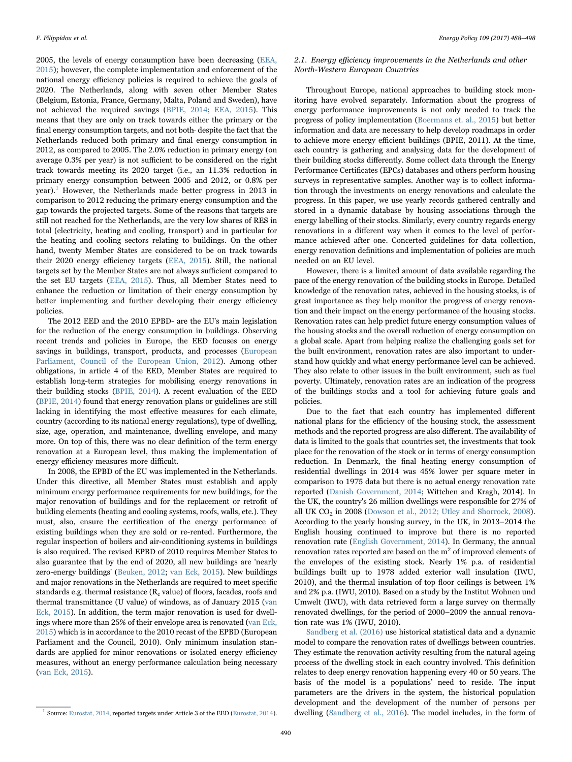2005, the levels of energy consumption have been decreasing ([EEA,](#page-10-9) [2015\)](#page-10-9); however, the complete implementation and enforcement of the national energy efficiency policies is required to achieve the goals of 2020. The Netherlands, along with seven other Member States (Belgium, Estonia, France, Germany, Malta, Poland and Sweden), have not achieved the required savings [\(BPIE, 2014](#page-10-10); [EEA, 2015\)](#page-10-9). This means that they are only on track towards either the primary or the final energy consumption targets, and not both ̶despite the fact that the Netherlands reduced both primary and final energy consumption in 2012, as compared to 2005. The 2.0% reduction in primary energy (on average 0.3% per year) is not sufficient to be considered on the right track towards meeting its 2020 target (i.e., an 11.3% reduction in primary energy consumption between 2005 and 2012, or 0.8% per year).<sup>1</sup> [However, the Netherlands made better progress in 2013 in](#page-3-0) comparison to 2012 reducing the primary energy consumption and the gap towards the projected targets. Some of the reasons that targets are still not reached for the Netherlands, are the very low shares of RES in total (electricity, heating and cooling, transport) and in particular for the heating and cooling sectors relating to buildings. On the other hand, twenty Member States are considered to be on track towards their 2020 energy efficiency targets ([EEA, 2015](#page-10-9)). Still, the national targets set by the Member States are not always sufficient compared to the set EU targets [\(EEA, 2015](#page-10-9)). Thus, all Member States need to enhance the reduction or limitation of their energy consumption by better implementing and further developing their energy efficiency policies.

The 2012 EED and the 2010 EPBD- are the EU's main legislation for the reduction of the energy consumption in buildings. Observing recent trends and policies in Europe, the EED focuses on energy savings in buildings, transport, products, and processes [\(European](#page-11-13) [Parliament, Council of the European Union, 2012\)](#page-11-13). Among other obligations, in article 4 of the EED, Member States are required to establish long-term strategies for mobilising energy renovations in their building stocks ([BPIE, 2014](#page-10-10)). A recent evaluation of the EED ([BPIE, 2014](#page-10-10)) found that energy renovation plans or guidelines are still lacking in identifying the most effective measures for each climate, country (according to its national energy regulations), type of dwelling, size, age, operation, and maintenance, dwelling envelope, and many more. On top of this, there was no clear definition of the term energy renovation at a European level, thus making the implementation of energy efficiency measures more difficult.

In 2008, the EPBD of the EU was implemented in the Netherlands. Under this directive, all Member States must establish and apply minimum energy performance requirements for new buildings, for the major renovation of buildings and for the replacement or retrofit of building elements (heating and cooling systems, roofs, walls, etc.). They must, also, ensure the certification of the energy performance of existing buildings when they are sold or re-rented. Furthermore, the regular inspection of boilers and air-conditioning systems in buildings is also required. The revised EPBD of 2010 requires Member States to also guarantee that by the end of 2020, all new buildings are 'nearly zero-energy buildings' ([Beuken, 2012](#page-10-11); [van Eck, 2015](#page-11-14)). New buildings and major renovations in the Netherlands are required to meet specific standards e.g. thermal resistance  $(R_c$  value) of floors, facades, roofs and thermal transmittance (U value) of windows, as of January 2015 ([van](#page-11-14) [Eck, 2015\)](#page-11-14). In addition, the term major renovation is used for dwellings where more than 25% of their envelope area is renovated ([van Eck,](#page-11-14) [2015\)](#page-11-14) which is in accordance to the 2010 recast of the EPBD (European Parliament and the Council, 2010). Only minimum insulation standards are applied for minor renovations or isolated energy efficiency measures, without an energy performance calculation being necessary ([van Eck, 2015\)](#page-11-14).

### 2.1. Energy efficiency improvements in the Netherlands and other North-Western European Countries

Throughout Europe, national approaches to building stock monitoring have evolved separately. Information about the progress of energy performance improvements is not only needed to track the progress of policy implementation [\(Boermans et. al., 2015](#page-10-12)) but better information and data are necessary to help develop roadmaps in order to achieve more energy efficient buildings (BPIE, 2011). At the time, each country is gathering and analysing data for the development of their building stocks differently. Some collect data through the Energy Performance Certificates (EPCs) databases and others perform housing surveys in representative samples. Another way is to collect information through the investments on energy renovations and calculate the progress. In this paper, we use yearly records gathered centrally and stored in a dynamic database by housing associations through the energy labelling of their stocks. Similarly, every country regards energy renovations in a different way when it comes to the level of performance achieved after one. Concerted guidelines for data collection, energy renovation definitions and implementation of policies are much needed on an EU level.

However, there is a limited amount of data available regarding the pace of the energy renovation of the building stocks in Europe. Detailed knowledge of the renovation rates, achieved in the housing stocks, is of great importance as they help monitor the progress of energy renovation and their impact on the energy performance of the housing stocks. Renovation rates can help predict future energy consumption values of the housing stocks and the overall reduction of energy consumption on a global scale. Apart from helping realize the challenging goals set for the built environment, renovation rates are also important to understand how quickly and what energy performance level can be achieved. They also relate to other issues in the built environment, such as fuel poverty. Ultimately, renovation rates are an indication of the progress of the buildings stocks and a tool for achieving future goals and policies.

Due to the fact that each country has implemented different national plans for the efficiency of the housing stock, the assessment methods and the reported progress are also different. The availability of data is limited to the goals that countries set, the investments that took place for the renovation of the stock or in terms of energy consumption reduction. In Denmark, the final heating energy consumption of residential dwellings in 2014 was 45% lower per square meter in comparison to 1975 data but there is no actual energy renovation rate reported [\(Danish Government, 2014;](#page-10-13) Wittchen and Kragh, 2014). In the UK, the country's 26 million dwellings were responsible for 27% of all UK CO<sub>2</sub> in 2008 ([Dowson et al., 2012; Utley and Shorrock, 2008\)](#page-10-14). According to the yearly housing survey, in the UK, in 2013–2014 the English housing continued to improve but there is no reported renovation rate [\(English Government, 2014\)](#page-10-15). In Germany, the annual renovation rates reported are based on the  $m<sup>2</sup>$  of improved elements of the envelopes of the existing stock. Nearly 1% p.a. of residential buildings built up to 1978 added exterior wall insulation (IWU, 2010), and the thermal insulation of top floor ceilings is between 1% and 2% p.a. (IWU, 2010). Based on a study by the Institut Wohnen und Umwelt (IWU), with data retrieved form a large survey on thermally renovated dwellings, for the period of 2000–2009 the annual renovation rate was 1% (IWU, 2010).

[Sandberg et al. \(2016\)](#page-11-15) use historical statistical data and a dynamic model to compare the renovation rates of dwellings between countries. They estimate the renovation activity resulting from the natural ageing process of the dwelling stock in each country involved. This definition relates to deep energy renovation happening every 40 or 50 years. The basis of the model is a populations' need to reside. The input parameters are the drivers in the system, the historical population development and the development of the number of persons per <sup>1</sup> Source: Eurostat, 2014, reported targets under Article 3 of the EED (Eurostat, 2014). dwelling ([Sandberg et al., 2016\)](#page-11-15). The model includes, in the form of

<span id="page-3-0"></span>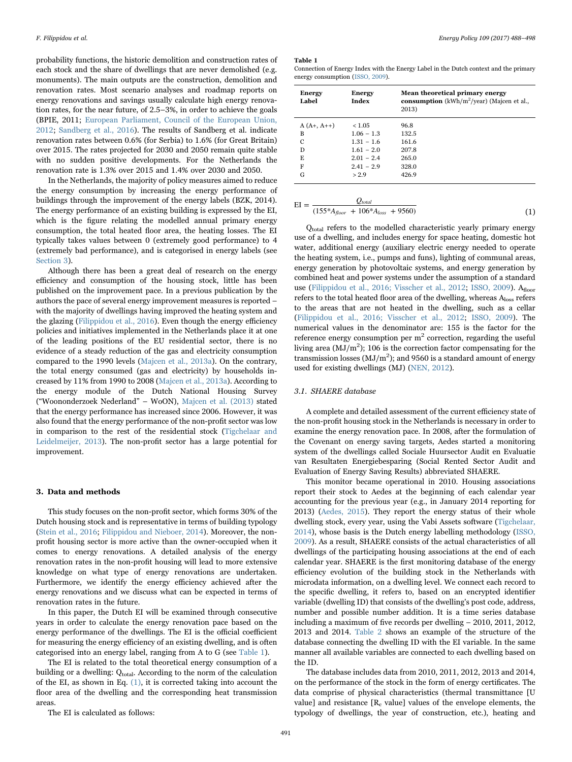probability functions, the historic demolition and construction rates of each stock and the share of dwellings that are never demolished (e.g. monuments). The main outputs are the construction, demolition and renovation rates. Most scenario analyses and roadmap reports on energy renovations and savings usually calculate high energy renovation rates, for the near future, of 2.5–3%, in order to achieve the goals (BPIE, 2011; [European Parliament, Council of the European Union,](#page-11-13) [2012;](#page-11-13) [Sandberg et al., 2016\)](#page-11-15). The results of Sandberg et al. indicate renovation rates between 0.6% (for Serbia) to 1.6% (for Great Britain) over 2015. The rates projected for 2030 and 2050 remain quite stable with no sudden positive developments. For the Netherlands the renovation rate is 1.3% over 2015 and 1.4% over 2030 and 2050.

In the Netherlands, the majority of policy measures aimed to reduce the energy consumption by increasing the energy performance of buildings through the improvement of the energy labels (BZK, 2014). The energy performance of an existing building is expressed by the EI, which is the figure relating the modelled annual primary energy consumption, the total heated floor area, the heating losses. The EI typically takes values between 0 (extremely good performance) to 4 (extremely bad performance), and is categorised in energy labels (see [Section 3\)](#page-4-0).

Although there has been a great deal of research on the energy efficiency and consumption of the housing stock, little has been published on the improvement pace. In a previous publication by the authors the pace of several energy improvement measures is reported – with the majority of dwellings having improved the heating system and the glazing ([Filippidou et al., 2016\)](#page-11-17). Even though the energy efficiency policies and initiatives implemented in the Netherlands place it at one of the leading positions of the EU residential sector, there is no evidence of a steady reduction of the gas and electricity consumption compared to the 1990 levels ([Majcen et al., 2013a\)](#page-11-18). On the contrary, the total energy consumed (gas and electricity) by households increased by 11% from 1990 to 2008 [\(Majcen et al., 2013a\)](#page-11-18). According to the energy module of the Dutch National Housing Survey ("Woononderzoek Nederland" – WoON), [Majcen et al. \(2013\)](#page-11-19) stated that the energy performance has increased since 2006. However, it was also found that the energy performance of the non-profit sector was low in comparison to the rest of the residential stock [\(Tigchelaar and](#page-11-20) [Leidelmeijer, 2013](#page-11-20)). The non-profit sector has a large potential for improvement.

#### <span id="page-4-0"></span>3. Data and methods

This study focuses on the non-profit sector, which forms 30% of the Dutch housing stock and is representative in terms of building typology ([Stein et al., 2016](#page-11-21); [Filippidou and Nieboer, 2014\)](#page-11-22). Moreover, the nonprofit housing sector is more active than the owner-occupied when it comes to energy renovations. A detailed analysis of the energy renovation rates in the non-profit housing will lead to more extensive knowledge on what type of energy renovations are undertaken. Furthermore, we identify the energy efficiency achieved after the energy renovations and we discuss what can be expected in terms of renovation rates in the future.

In this paper, the Dutch EI will be examined through consecutive years in order to calculate the energy renovation pace based on the energy performance of the dwellings. The EI is the official coefficient for measuring the energy efficiency of an existing dwelling, and is often categorised into an energy label, ranging from A to G (see [Table 1\)](#page-4-1).

The EI is related to the total theoretical energy consumption of a building or a dwelling:  $Q_{total}$ . According to the norm of the calculation of the EI, as shown in Eq.  $(1)$ , it is corrected taking into account the floor area of the dwelling and the corresponding heat transmission areas.

<span id="page-4-2"></span>The EI is calculated as follows:

<span id="page-4-1"></span>Table 1

Connection of Energy Index with the Energy Label in the Dutch context and the primary energy consumption [\(ISSO, 2009\)](#page-11-24).

| <b>Energy</b><br>Label | <b>Energy</b><br>Index | Mean theoretical primary energy<br><b>consumption</b> (kWh/m <sup>2</sup> /year) (Majcen et al.,<br>2013) |
|------------------------|------------------------|-----------------------------------------------------------------------------------------------------------|
| $A(A+, A++)$           | < 1.05                 | 96.8                                                                                                      |
| B                      | $1.06 - 1.3$           | 132.5                                                                                                     |
| C                      | $1.31 - 1.6$           | 161.6                                                                                                     |
| D                      | $1.61 - 2.0$           | 207.8                                                                                                     |
| E                      | $2.01 - 2.4$           | 265.0                                                                                                     |
| F                      | $2.41 - 2.9$           | 328.0                                                                                                     |
| G                      | > 2.9                  | 426.9                                                                                                     |
|                        |                        |                                                                                                           |

$$
EI = \frac{Q_{total}}{(155 * A_{floor} + 106 * A_{loss} + 9560)}
$$
(1)

Q<sub>total</sub> refers to the modelled characteristic yearly primary energy use of a dwelling, and includes energy for space heating, domestic hot water, additional energy (auxiliary electric energy needed to operate the heating system, i.e., pumps and funs), lighting of communal areas, energy generation by photovoltaic systems, and energy generation by combined heat and power systems under the assumption of a standard use ([Filippidou et al., 2016; Visscher et al., 2012](#page-11-23); [ISSO, 2009\)](#page-11-24). Afloor refers to the total heated floor area of the dwelling, whereas Aloss refers to the areas that are not heated in the dwelling, such as a cellar ([Filippidou et al., 2016; Visscher et al., 2012;](#page-11-23) [ISSO, 2009](#page-11-24)). The numerical values in the denominator are: 155 is the factor for the reference energy consumption per  $m<sup>2</sup>$  correction, regarding the useful living area ( $MJ/m<sup>2</sup>$ ); 106 is the correction factor compensating for the transmission losses ( $MJ/m<sup>2</sup>$ ); and 9560 is a standard amount of energy used for existing dwellings (MJ) ([NEN, 2012](#page-11-25)).

#### 3.1. SHAERE database

A complete and detailed assessment of the current efficiency state of the non-profit housing stock in the Netherlands is necessary in order to examine the energy renovation pace. In 2008, after the formulation of the Covenant on energy saving targets, Aedes started a monitoring system of the dwellings called Sociale Huursector Audit en Evaluatie van Resultaten Energiebesparing (Social Rented Sector Audit and Evaluation of Energy Saving Results) abbreviated SHAERE.

This monitor became operational in 2010. Housing associations report their stock to Aedes at the beginning of each calendar year accounting for the previous year (e.g., in January 2014 reporting for 2013) ([Aedes, 2015\)](#page-10-16). They report the energy status of their whole dwelling stock, every year, using the Vabi Assets software ([Tigchelaar,](#page-11-26) [2014\)](#page-11-26), whose basis is the Dutch energy labelling methodology ([ISSO,](#page-11-24) [2009\)](#page-11-24). As a result, SHAERE consists of the actual characteristics of all dwellings of the participating housing associations at the end of each calendar year. SHAERE is the first monitoring database of the energy efficiency evolution of the building stock in the Netherlands with microdata information, on a dwelling level. We connect each record to the specific dwelling, it refers to, based on an encrypted identifier variable (dwelling ID) that consists of the dwelling's post code, address, number and possible number addition. It is a time series database including a maximum of five records per dwelling – 2010, 2011, 2012, 2013 and 2014. [Table 2](#page-5-0) shows an example of the structure of the database connecting the dwelling ID with the EI variable. In the same manner all available variables are connected to each dwelling based on the ID.

The database includes data from 2010, 2011, 2012, 2013 and 2014, on the performance of the stock in the form of energy certificates. The data comprise of physical characteristics (thermal transmittance [U value] and resistance  $[R_c \text{ value}]$  values of the envelope elements, the typology of dwellings, the year of construction, etc.), heating and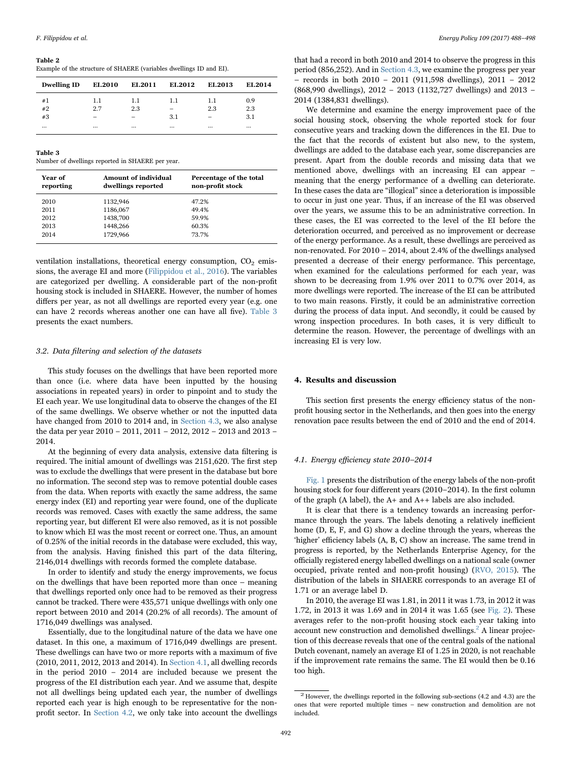#### <span id="page-5-0"></span>Table 2

Example of the structure of SHAERE (variables dwellings ID and EI).

| <b>Dwelling ID</b> | EI.2010 EI.2011 |          | <b>EI.2012</b> | EI.2013  | EL.2014  |
|--------------------|-----------------|----------|----------------|----------|----------|
| #1                 | 1.1             | 1.1      | 1.1            | 1.1      | 0.9      |
| #2                 | 2.7             | 2.3      |                | 2.3      | 2.3      |
| #3                 |                 |          | 3.1            | -        | 3.1      |
| $\cdots$           | $\cdots$        | $\cdots$ | $\cdots$       | $\cdots$ | $\cdots$ |

#### <span id="page-5-1"></span>Table 3

Number of dwellings reported in SHAERE per year.

| Year of<br>reporting | Amount of individual<br>dwellings reported | Percentage of the total<br>non-profit stock |
|----------------------|--------------------------------------------|---------------------------------------------|
| 2010                 | 1132.946                                   | 47.2%                                       |
| 2011                 | 1186,067                                   | 49.4%                                       |
| 2012                 | 1438.700                                   | 59.9%                                       |
| 2013                 | 1448.266                                   | 60.3%                                       |
| 2014                 | 1729,966                                   | 73.7%                                       |

ventilation installations, theoretical energy consumption,  $CO<sub>2</sub>$  emissions, the average EI and more [\(Filippidou et al., 2016](#page-11-17)). The variables are categorized per dwelling. A considerable part of the non-profit housing stock is included in SHAERE. However, the number of homes differs per year, as not all dwellings are reported every year (e.g. one can have 2 records whereas another one can have all five). [Table 3](#page-5-1) presents the exact numbers.

#### 3.2. Data filtering and selection of the datasets

This study focuses on the dwellings that have been reported more than once (i.e. where data have been inputted by the housing associations in repeated years) in order to pinpoint and to study the EI each year. We use longitudinal data to observe the changes of the EI of the same dwellings. We observe whether or not the inputted data have changed from 2010 to 2014 and, in [Section 4.3](#page-7-0), we also analyse the data per year 2010 − 2011, 2011 − 2012, 2012 − 2013 and 2013 − 2014.

At the beginning of every data analysis, extensive data filtering is required. The initial amount of dwellings was 2151,620. The first step was to exclude the dwellings that were present in the database but bore no information. The second step was to remove potential double cases from the data. When reports with exactly the same address, the same energy index (EI) and reporting year were found, one of the duplicate records was removed. Cases with exactly the same address, the same reporting year, but different EI were also removed, as it is not possible to know which EI was the most recent or correct one. Thus, an amount of 0.25% of the initial records in the database were excluded, this way, from the analysis. Having finished this part of the data filtering, 2146,014 dwellings with records formed the complete database.

In order to identify and study the energy improvements, we focus on the dwellings that have been reported more than once – meaning that dwellings reported only once had to be removed as their progress cannot be tracked. There were 435,571 unique dwellings with only one report between 2010 and 2014 (20.2% of all records). The amount of 1716,049 dwellings was analysed.

Essentially, due to the longitudinal nature of the data we have one dataset. In this one, a maximum of 1716,049 dwellings are present. These dwellings can have two or more reports with a maximum of five (2010, 2011, 2012, 2013 and 2014). In [Section 4.1,](#page-5-2) all dwelling records in the period 2010 − 2014 are included because we present the progress of the EI distribution each year. And we assume that, despite not all dwellings being updated each year, the number of dwellings reported each year is high enough to be representative for the nonprofit sector. In [Section 4.2](#page-6-0), we only take into account the dwellings

that had a record in both 2010 and 2014 to observe the progress in this period (856,252). And in [Section 4.3,](#page-7-0) we examine the progress per year – records in both 2010 − 2011 (911,598 dwellings), 2011 − 2012 (868,990 dwellings), 2012 − 2013 (1132,727 dwellings) and 2013 − 2014 (1384,831 dwellings).

We determine and examine the energy improvement pace of the social housing stock, observing the whole reported stock for four consecutive years and tracking down the differences in the EI. Due to the fact that the records of existent but also new, to the system, dwellings are added to the database each year, some discrepancies are present. Apart from the double records and missing data that we mentioned above, dwellings with an increasing EI can appear – meaning that the energy performance of a dwelling can deteriorate. In these cases the data are "illogical" since a deterioration is impossible to occur in just one year. Thus, if an increase of the EI was observed over the years, we assume this to be an administrative correction. In these cases, the EI was corrected to the level of the EI before the deterioration occurred, and perceived as no improvement or decrease of the energy performance. As a result, these dwellings are perceived as non-renovated. For 2010 − 2014, about 2.4% of the dwellings analysed presented a decrease of their energy performance. This percentage, when examined for the calculations performed for each year, was shown to be decreasing from 1.9% over 2011 to 0.7% over 2014, as more dwellings were reported. The increase of the EI can be attributed to two main reasons. Firstly, it could be an administrative correction during the process of data input. And secondly, it could be caused by wrong inspection procedures. In both cases, it is very difficult to determine the reason. However, the percentage of dwellings with an increasing EI is very low.

#### 4. Results and discussion

This section first presents the energy efficiency status of the nonprofit housing sector in the Netherlands, and then goes into the energy renovation pace results between the end of 2010 and the end of 2014.

#### <span id="page-5-2"></span>4.1. Energy efficiency state 2010–2014

[Fig. 1](#page-6-1) presents the distribution of the energy labels of the non-profit housing stock for four different years (2010−2014). In the first column of the graph (A label), the A+ and A++ labels are also included.

It is clear that there is a tendency towards an increasing performance through the years. The labels denoting a relatively inefficient home (D, E, F, and G) show a decline through the years, whereas the 'higher' efficiency labels (A, B, C) show an increase. The same trend in progress is reported, by the Netherlands Enterprise Agency, for the officially registered energy labelled dwellings on a national scale (owner occupied, private rented and non-profit housing) [\(RVO, 2015](#page-11-5)). The distribution of the labels in SHAERE corresponds to an average EI of 1.71 or an average label D.

In 2010, the average EI was 1.81, in 2011 it was 1.73, in 2012 it was 1.72, in 2013 it was 1.69 and in 2014 it was 1.65 (see [Fig. 2\)](#page-6-2). These averages refer to the non-profit housing stock each year taking into account new construction and demolished dwellings. $<sup>2</sup>$  A linear projec-</sup> tion of this decrease reveals that one of the central goals of the national Dutch covenant, namely an average EI of 1.25 in 2020, is not reachable if the improvement rate remains the same. The EI would then be 0.16 too high.

<span id="page-5-3"></span><sup>2</sup> However, the dwellings reported in the following sub-sections (4.2 and 4.3) are the ones that were reported multiple times – new construction and demolition are not included.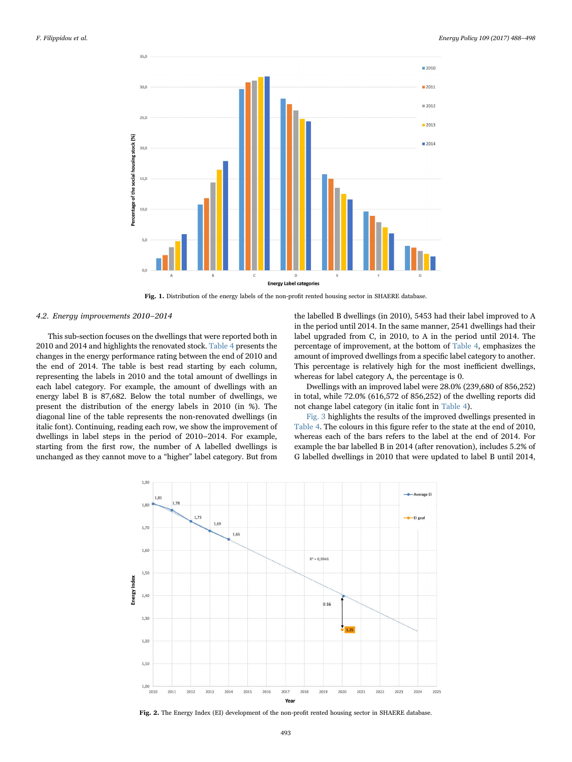<span id="page-6-1"></span>

Fig. 1. Distribution of the energy labels of the non-profit rented housing sector in SHAERE database.

## <span id="page-6-0"></span>4.2. Energy improvements 2010−2014

This sub-section focuses on the dwellings that were reported both in 2010 and 2014 and highlights the renovated stock. [Table 4](#page-7-1) presents the changes in the energy performance rating between the end of 2010 and the end of 2014. The table is best read starting by each column, representing the labels in 2010 and the total amount of dwellings in each label category. For example, the amount of dwellings with an energy label B is 87,682. Below the total number of dwellings, we present the distribution of the energy labels in 2010 (in %). The diagonal line of the table represents the non-renovated dwellings (in italic font). Continuing, reading each row, we show the improvement of dwellings in label steps in the period of 2010–2014. For example, starting from the first row, the number of A labelled dwellings is unchanged as they cannot move to a "higher" label category. But from

the labelled B dwellings (in 2010), 5453 had their label improved to A in the period until 2014. In the same manner, 2541 dwellings had their label upgraded from C, in 2010, to A in the period until 2014. The percentage of improvement, at the bottom of [Table 4](#page-7-1), emphasizes the amount of improved dwellings from a specific label category to another. This percentage is relatively high for the most inefficient dwellings, whereas for label category A, the percentage is 0.

Dwellings with an improved label were 28.0% (239,680 of 856,252) in total, while 72.0% (616,572 of 856,252) of the dwelling reports did not change label category (in italic font in [Table 4\)](#page-7-1).

[Fig. 3](#page-7-2) highlights the results of the improved dwellings presented in [Table 4.](#page-7-1) The colours in this figure refer to the state at the end of 2010, whereas each of the bars refers to the label at the end of 2014. For example the bar labelled B in 2014 (after renovation), includes 5.2% of G labelled dwellings in 2010 that were updated to label B until 2014,

<span id="page-6-2"></span>

Fig. 2. The Energy Index (EI) development of the non-profit rented housing sector in SHAERE database.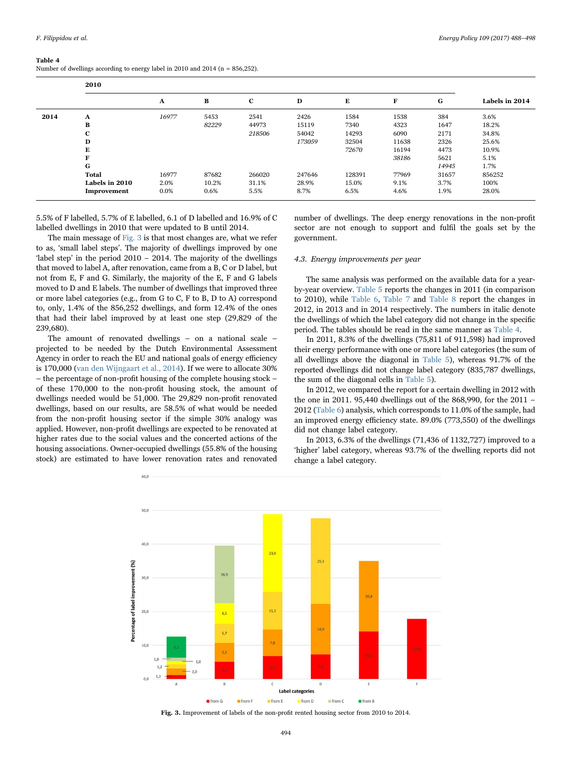#### <span id="page-7-1"></span>Table 4

Number of dwellings according to energy label in 2010 and 2014 (n = 856,252).

|      | 2010           |       |          |        |        |        |       |       |                |  |
|------|----------------|-------|----------|--------|--------|--------|-------|-------|----------------|--|
|      |                | A     | $\bf{B}$ | C      | D      | E      | F     | G     | Labels in 2014 |  |
| 2014 | A              | 16977 | 5453     | 2541   | 2426   | 1584   | 1538  | 384   | 3.6%           |  |
|      | B              |       | 82229    | 44973  | 15119  | 7340   | 4323  | 1647  | 18.2%          |  |
|      | C              |       |          | 218506 | 54042  | 14293  | 6090  | 2171  | 34.8%          |  |
|      | D              |       |          |        | 173059 | 32504  | 11638 | 2326  | 25.6%          |  |
|      | Е              |       |          |        |        | 72670  | 16194 | 4473  | 10.9%          |  |
|      | F              |       |          |        |        |        | 38186 | 5621  | 5.1%           |  |
|      | G              |       |          |        |        |        |       | 14945 | 1.7%           |  |
|      | Total          | 16977 | 87682    | 266020 | 247646 | 128391 | 77969 | 31657 | 856252         |  |
|      | Labels in 2010 | 2.0%  | 10.2%    | 31.1%  | 28.9%  | 15.0%  | 9.1%  | 3.7%  | 100%           |  |
|      | Improvement    | 0.0%  | 0.6%     | 5.5%   | 8.7%   | 6.5%   | 4.6%  | 1.9%  | 28.0%          |  |

5.5% of F labelled, 5.7% of E labelled, 6.1 of D labelled and 16.9% of C labelled dwellings in 2010 that were updated to B until 2014.

The main message of [Fig. 3](#page-7-2) is that most changes are, what we refer to as, 'small label steps'. The majority of dwellings improved by one 'label step' in the period 2010 − 2014. The majority of the dwellings that moved to label A, after renovation, came from a B, C or D label, but not from E, F and G. Similarly, the majority of the E, F and G labels moved to D and E labels. The number of dwellings that improved three or more label categories (e.g., from G to C, F to B, D to A) correspond to, only, 1.4% of the 856,252 dwellings, and form 12.4% of the ones that had their label improved by at least one step (29,829 of the 239,680).

The amount of renovated dwellings – on a national scale – projected to be needed by the Dutch Environmental Assessment Agency in order to reach the EU and national goals of energy efficiency is 170,000 [\(van den Wijngaart et al., 2014\)](#page-11-27). If we were to allocate 30% – the percentage of non-profit housing of the complete housing stock – of these 170,000 to the non-profit housing stock, the amount of dwellings needed would be 51,000. The 29,829 non-profit renovated dwellings, based on our results, are 58.5% of what would be needed from the non-profit housing sector if the simple 30% analogy was applied. However, non-profit dwellings are expected to be renovated at higher rates due to the social values and the concerted actions of the housing associations. Owner-occupied dwellings (55.8% of the housing stock) are estimated to have lower renovation rates and renovated

number of dwellings. The deep energy renovations in the non-profit sector are not enough to support and fulfil the goals set by the government.

### <span id="page-7-0"></span>4.3. Energy improvements per year

The same analysis was performed on the available data for a yearby-year overview. [Table 5](#page-8-0) reports the changes in 2011 (in comparison to 2010), while [Table 6,](#page-8-1) [Table 7](#page-9-0) and [Table 8](#page-9-1) report the changes in 2012, in 2013 and in 2014 respectively. The numbers in italic denote the dwellings of which the label category did not change in the specific period. The tables should be read in the same manner as [Table 4](#page-7-1).

In 2011, 8.3% of the dwellings (75,811 of 911,598) had improved their energy performance with one or more label categories (the sum of all dwellings above the diagonal in [Table 5](#page-8-0)), whereas 91.7% of the reported dwellings did not change label category (835,787 dwellings, the sum of the diagonal cells in [Table 5](#page-8-0)).

In 2012, we compared the report for a certain dwelling in 2012 with the one in 2011. 95,440 dwellings out of the 868,990, for the 2011 − 2012 [\(Table 6](#page-8-1)) analysis, which corresponds to 11.0% of the sample, had an improved energy efficiency state. 89.0% (773,550) of the dwellings did not change label category.

In 2013, 6.3% of the dwellings (71,436 of 1132,727) improved to a 'higher' label category, whereas 93.7% of the dwelling reports did not change a label category.

<span id="page-7-2"></span>

Fig. 3. Improvement of labels of the non-profit rented housing sector from 2010 to 2014.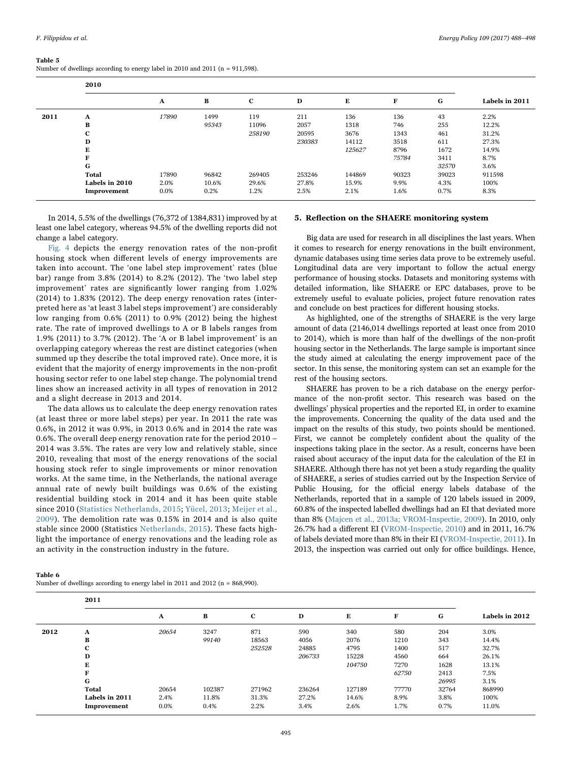<span id="page-8-0"></span>

|      | 2010           |       |       |        |        |        |       |                |        |  |  |
|------|----------------|-------|-------|--------|--------|--------|-------|----------------|--------|--|--|
|      |                | A     | B     | C      | D      | Е      | G     | Labels in 2011 |        |  |  |
| 2011 | A              | 17890 | 1499  | 119    | 211    | 136    | 136   | 43             | 2.2%   |  |  |
|      | B              |       | 95343 | 11096  | 2057   | 1318   | 746   | 255            | 12.2%  |  |  |
|      | C              |       |       | 258190 | 20595  | 3676   | 1343  | 461            | 31.2%  |  |  |
|      | D              |       |       |        | 230383 | 14112  | 3518  | 611            | 27.3%  |  |  |
|      | Е              |       |       |        |        | 125627 | 8796  | 1672           | 14.9%  |  |  |
|      | F              |       |       |        |        |        | 75784 | 3411           | 8.7%   |  |  |
|      | G              |       |       |        |        |        |       | 32570          | 3.6%   |  |  |
|      | Total          | 17890 | 96842 | 269405 | 253246 | 144869 | 90323 | 39023          | 911598 |  |  |
|      | Labels in 2010 | 2.0%  | 10.6% | 29.6%  | 27.8%  | 15.9%  | 9.9%  | 4.3%           | 100%   |  |  |
|      | Improvement    | 0.0%  | 0.2%  | 1.2%   | 2.5%   | 2.1%   | 1.6%  | 0.7%           | 8.3%   |  |  |

In 2014, 5.5% of the dwellings (76,372 of 1384,831) improved by at least one label category, whereas 94.5% of the dwelling reports did not change a label category.

[Fig. 4](#page-10-17) depicts the energy renovation rates of the non-profit housing stock when different levels of energy improvements are taken into account. The 'one label step improvement' rates (blue bar) range from 3.8% (2014) to 8.2% (2012). The 'two label step improvement' rates are significantly lower ranging from 1.02% (2014) to 1.83% (2012). The deep energy renovation rates (interpreted here as 'at least 3 label steps improvement') are considerably low ranging from 0.6% (2011) to 0.9% (2012) being the highest rate. The rate of improved dwellings to A or B labels ranges from 1.9% (2011) to 3.7% (2012). The 'A or B label improvement' is an overlapping category whereas the rest are distinct categories (when summed up they describe the total improved rate). Once more, it is evident that the majority of energy improvements in the non-profit housing sector refer to one label step change. The polynomial trend lines show an increased activity in all types of renovation in 2012 and a slight decrease in 2013 and 2014.

The data allows us to calculate the deep energy renovation rates (at least three or more label steps) per year. In 2011 the rate was 0.6%, in 2012 it was 0.9%, in 2013 0.6% and in 2014 the rate was 0.6%. The overall deep energy renovation rate for the period 2010 – 2014 was 3.5%. The rates are very low and relatively stable, since 2010, revealing that most of the energy renovations of the social housing stock refer to single improvements or minor renovation works. At the same time, in the Netherlands, the national average annual rate of newly built buildings was 0.6% of the existing residential building stock in 2014 and it has been quite stable since 2010 ([Statistics Netherlands, 2015;](#page-11-28) [Yücel, 2013](#page-11-29); [Meijer et al.,](#page-10-18) [2009\)](#page-10-18). The demolition rate was 0.15% in 2014 and is also quite stable since 2000 (Statistics [Netherlands, 2015](#page-11-30)). These facts highlight the importance of energy renovations and the leading role as an activity in the construction industry in the future.

#### 5. Reflection on the SHAERE monitoring system

Big data are used for research in all disciplines the last years. When it comes to research for energy renovations in the built environment, dynamic databases using time series data prove to be extremely useful. Longitudinal data are very important to follow the actual energy performance of housing stocks. Datasets and monitoring systems with detailed information, like SHAERE or EPC databases, prove to be extremely useful to evaluate policies, project future renovation rates and conclude on best practices for different housing stocks.

As highlighted, one of the strengths of SHAERE is the very large amount of data (2146,014 dwellings reported at least once from 2010 to 2014), which is more than half of the dwellings of the non-profit housing sector in the Netherlands. The large sample is important since the study aimed at calculating the energy improvement pace of the sector. In this sense, the monitoring system can set an example for the rest of the housing sectors.

SHAERE has proven to be a rich database on the energy performance of the non-profit sector. This research was based on the dwellings' physical properties and the reported EI, in order to examine the improvements. Concerning the quality of the data used and the impact on the results of this study, two points should be mentioned. First, we cannot be completely confident about the quality of the inspections taking place in the sector. As a result, concerns have been raised about accuracy of the input data for the calculation of the EI in SHAERE. Although there has not yet been a study regarding the quality of SHAERE, a series of studies carried out by the Inspection Service of Public Housing, for the official energy labels database of the Netherlands, reported that in a sample of 120 labels issued in 2009, 60.8% of the inspected labelled dwellings had an EI that deviated more than 8% ([Majcen et al., 2013a; VROM-Inspectie, 2009\)](#page-11-18). In 2010, only 26.7% had a different EI [\(VROM-Inspectie, 2010](#page-11-31)) and in 2011, 16.7% of labels deviated more than 8% in their EI [\(VROM-Inspectie, 2011\)](#page-11-32). In 2013, the inspection was carried out only for office buildings. Hence,

<span id="page-8-1"></span>

| ۰.<br>×<br>v<br>۰.<br>I<br>I |  |
|------------------------------|--|

Number of dwellings according to energy label in 2011 and 2012 (n = 868,990).

|      | 2011           |       |        |        |        |        |       |       |                |  |
|------|----------------|-------|--------|--------|--------|--------|-------|-------|----------------|--|
|      |                | A     | B      | C      | D      | Е      | F     | G     | Labels in 2012 |  |
| 2012 | A              | 20654 | 3247   | 871    | 590    | 340    | 580   | 204   | 3.0%           |  |
|      | В              |       | 99140  | 18563  | 4056   | 2076   | 1210  | 343   | 14.4%          |  |
|      | C              |       |        | 252528 | 24885  | 4795   | 1400  | 517   | 32.7%          |  |
|      | D              |       |        |        | 206733 | 15228  | 4560  | 664   | 26.1%          |  |
|      | Е              |       |        |        |        | 104750 | 7270  | 1628  | 13.1%          |  |
|      | F              |       |        |        |        |        | 62750 | 2413  | 7.5%           |  |
|      | G              |       |        |        |        |        |       | 26995 | 3.1%           |  |
|      | Total          | 20654 | 102387 | 271962 | 236264 | 127189 | 77770 | 32764 | 868990         |  |
|      | Labels in 2011 | 2.4%  | 11.8%  | 31.3%  | 27.2%  | 14.6%  | 8.9%  | 3.8%  | 100%           |  |
|      | Improvement    | 0.0%  | 0.4%   | 2.2%   | 3.4%   | 2.6%   | 1.7%  | 0.7%  | 11.0%          |  |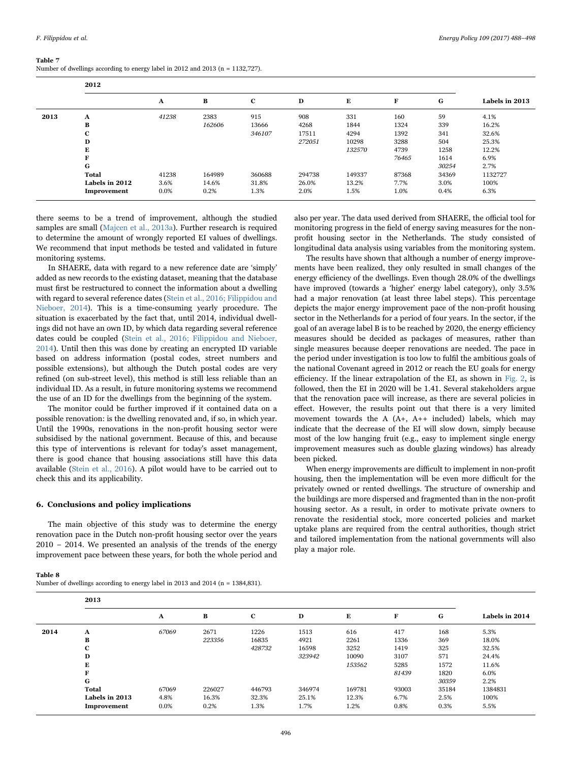<span id="page-9-0"></span>

| Table 7                                                                            |  |  |  |  |
|------------------------------------------------------------------------------------|--|--|--|--|
| Number of dwellings according to energy label in 2012 and 2013 ( $n = 1132,727$ ). |  |  |  |  |

|      | 2012           |       |        |             |        |        |       |       |                |  |
|------|----------------|-------|--------|-------------|--------|--------|-------|-------|----------------|--|
|      |                | A     | B      | $\mathbf C$ | D      | Е      | F     | G     | Labels in 2013 |  |
| 2013 | A              | 41238 | 2383   | 915         | 908    | 331    | 160   | 59    | 4.1%           |  |
|      | B              |       | 162606 | 13666       | 4268   | 1844   | 1324  | 339   | 16.2%          |  |
|      | C              |       |        | 346107      | 17511  | 4294   | 1392  | 341   | 32.6%          |  |
|      | D              |       |        |             | 272051 | 10298  | 3288  | 504   | 25.3%          |  |
|      | Е              |       |        |             |        | 132570 | 4739  | 1258  | 12.2%          |  |
|      | F              |       |        |             |        |        | 76465 | 1614  | 6.9%           |  |
|      | G              |       |        |             |        |        |       | 30254 | 2.7%           |  |
|      | Total          | 41238 | 164989 | 360688      | 294738 | 149337 | 87368 | 34369 | 1132727        |  |
|      | Labels in 2012 | 3.6%  | 14.6%  | 31.8%       | 26.0%  | 13.2%  | 7.7%  | 3.0%  | 100%           |  |
|      | Improvement    | 0.0%  | 0.2%   | 1.3%        | 2.0%   | 1.5%   | 1.0%  | 0.4%  | 6.3%           |  |

there seems to be a trend of improvement, although the studied samples are small [\(Majcen et al., 2013a](#page-11-18)). Further research is required to determine the amount of wrongly reported EI values of dwellings. We recommend that input methods be tested and validated in future monitoring systems.

In SHAERE, data with regard to a new reference date are 'simply' added as new records to the existing dataset, meaning that the database must first be restructured to connect the information about a dwelling with regard to several reference dates ([Stein et al., 2016; Filippidou and](#page-11-22) [Nieboer, 2014](#page-11-22)). This is a time-consuming yearly procedure. The situation is exacerbated by the fact that, until 2014, individual dwellings did not have an own ID, by which data regarding several reference dates could be coupled ([Stein et al., 2016; Filippidou and Nieboer,](#page-11-22) [2014\)](#page-11-22). Until then this was done by creating an encrypted ID variable based on address information (postal codes, street numbers and possible extensions), but although the Dutch postal codes are very refined (on sub-street level), this method is still less reliable than an individual ID. As a result, in future monitoring systems we recommend the use of an ID for the dwellings from the beginning of the system.

The monitor could be further improved if it contained data on a possible renovation: is the dwelling renovated and, if so, in which year. Until the 1990s, renovations in the non-profit housing sector were subsidised by the national government. Because of this, and because this type of interventions is relevant for today's asset management, there is good chance that housing associations still have this data available ([Stein et al., 2016](#page-11-21)). A pilot would have to be carried out to check this and its applicability.

### 6. Conclusions and policy implications

The main objective of this study was to determine the energy renovation pace in the Dutch non-profit housing sector over the years 2010 − 2014. We presented an analysis of the trends of the energy improvement pace between these years, for both the whole period and

<span id="page-9-1"></span>

| г<br>٠<br>٧<br>۰. |  |
|-------------------|--|
|-------------------|--|

Number of dwellings according to energy label in 2013 and 2014 (n = 1384,831).

also per year. The data used derived from SHAERE, the official tool for monitoring progress in the field of energy saving measures for the nonprofit housing sector in the Netherlands. The study consisted of longitudinal data analysis using variables from the monitoring system.

The results have shown that although a number of energy improvements have been realized, they only resulted in small changes of the energy efficiency of the dwellings. Even though 28.0% of the dwellings have improved (towards a 'higher' energy label category), only 3.5% had a major renovation (at least three label steps). This percentage depicts the major energy improvement pace of the non-profit housing sector in the Netherlands for a period of four years. In the sector, if the goal of an average label B is to be reached by 2020, the energy efficiency measures should be decided as packages of measures, rather than single measures because deeper renovations are needed. The pace in the period under investigation is too low to fulfil the ambitious goals of the national Covenant agreed in 2012 or reach the EU goals for energy efficiency. If the linear extrapolation of the EI, as shown in [Fig. 2,](#page-6-2) is followed, then the EI in 2020 will be 1.41. Several stakeholders argue that the renovation pace will increase, as there are several policies in effect. However, the results point out that there is a very limited movement towards the A (A+, A++ included) labels, which may indicate that the decrease of the EI will slow down, simply because most of the low hanging fruit (e.g., easy to implement single energy improvement measures such as double glazing windows) has already been picked.

When energy improvements are difficult to implement in non-profit housing, then the implementation will be even more difficult for the privately owned or rented dwellings. The structure of ownership and the buildings are more dispersed and fragmented than in the non-profit housing sector. As a result, in order to motivate private owners to renovate the residential stock, more concerted policies and market uptake plans are required from the central authorities, though strict and tailored implementation from the national governments will also play a major role.

|      | 2013           |       |        |        |        |        |       |       |                |  |
|------|----------------|-------|--------|--------|--------|--------|-------|-------|----------------|--|
|      |                | A     | В      | С      | D      | Е      | F     | G     | Labels in 2014 |  |
| 2014 | A              | 67069 | 2671   | 1226   | 1513   | 616    | 417   | 168   | 5.3%           |  |
|      | B              |       | 223356 | 16835  | 4921   | 2261   | 1336  | 369   | 18.0%          |  |
|      | C              |       |        | 428732 | 16598  | 3252   | 1419  | 325   | 32.5%          |  |
|      | D              |       |        |        | 323942 | 10090  | 3107  | 571   | 24.4%          |  |
|      | Е              |       |        |        |        | 153562 | 5285  | 1572  | 11.6%          |  |
|      | F              |       |        |        |        |        | 81439 | 1820  | 6.0%           |  |
|      | G              |       |        |        |        |        |       | 30359 | 2.2%           |  |
|      | Total          | 67069 | 226027 | 446793 | 346974 | 169781 | 93003 | 35184 | 1384831        |  |
|      | Labels in 2013 | 4.8%  | 16.3%  | 32.3%  | 25.1%  | 12.3%  | 6.7%  | 2.5%  | 100%           |  |
|      | Improvement    | 0.0%  | 0.2%   | 1.3%   | 1.7%   | 1.2%   | 0.8%  | 0.3%  | 5.5%           |  |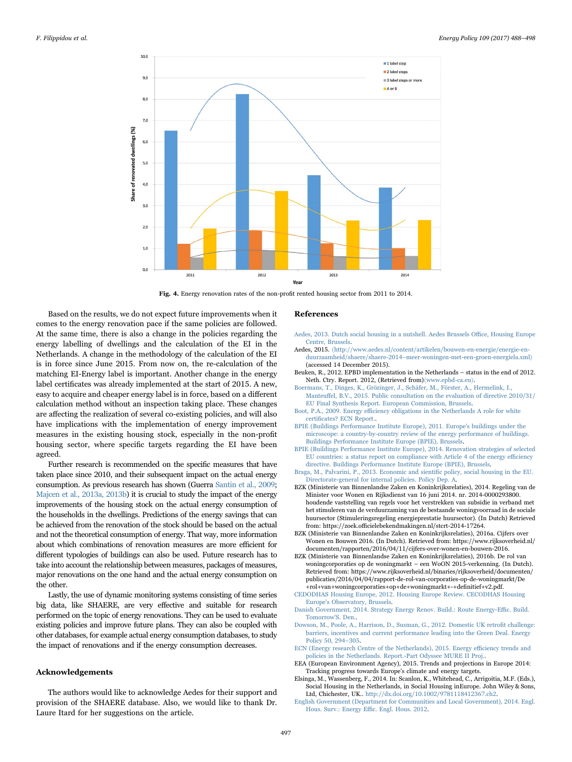<span id="page-10-17"></span>

Fig. 4. Energy renovation rates of the non-profit rented housing sector from 2011 to 2014.

Based on the results, we do not expect future improvements when it comes to the energy renovation pace if the same policies are followed. At the same time, there is also a change in the policies regarding the energy labelling of dwellings and the calculation of the EI in the Netherlands. A change in the methodology of the calculation of the EI is in force since June 2015. From now on, the re-calculation of the matching EI-Energy label is important. Another change in the energy label certificates was already implemented at the start of 2015. A new, easy to acquire and cheaper energy label is in force, based on a different calculation method without an inspection taking place. These changes are affecting the realization of several co-existing policies, and will also have implications with the implementation of energy improvement measures in the existing housing stock, especially in the non-profit housing sector, where specific targets regarding the EI have been agreed.

Further research is recommended on the specific measures that have taken place since 2010, and their subsequent impact on the actual energy consumption. As previous research has shown (Guerra [Santin et al., 2009](#page-11-33); [Majcen et al., 2013a, 2013b\)](#page-11-19) it is crucial to study the impact of the energy improvements of the housing stock on the actual energy consumption of the households in the dwellings. Predictions of the energy savings that can be achieved from the renovation of the stock should be based on the actual and not the theoretical consumption of energy. That way, more information about which combinations of renovation measures are more efficient for different typologies of buildings can also be used. Future research has to take into account the relationship between measures, packages of measures, major renovations on the one hand and the actual energy consumption on the other.

Lastly, the use of dynamic monitoring systems consisting of time series big data, like SHAERE, are very effective and suitable for research performed on the topic of energy renovations. They can be used to evaluate existing policies and improve future plans. They can also be coupled with other databases, for example actual energy consumption databases, to study the impact of renovations and if the energy consumption decreases.

#### Acknowledgements

The authors would like to acknowledge Aedes for their support and provision of the SHAERE database. Also, we would like to thank Dr. Laure Itard for her suggestions on the article.

#### References

- <span id="page-10-7"></span>[Aedes, 2013. Dutch social housing in a nutshell. Aedes Brussels O](http://refhub.elsevier.com/S0301-4215(17)30454-8/sbref1)ffice, Housing Europe [Centre, Brussels.](http://refhub.elsevier.com/S0301-4215(17)30454-8/sbref1)
- <span id="page-10-16"></span>Aedes, 2015. 〈[http://www.aedes.nl/content/artikelen/bouwen-en-energie/energie-en](http://www.aedes.nl/content/artikelen/bouwen-en-energie/energie-en-duurzaamheid/shaere/shaere-2014--meer-woningen-met-een-groen-energiela.xml)duurzaamheid/shaere/shaere-2014–[meer-woningen-met-een-groen-energiela.xml](http://www.aedes.nl/content/artikelen/bouwen-en-energie/energie-en-duurzaamheid/shaere/shaere-2014--meer-woningen-met-een-groen-energiela.xml)〉 (accessed 14 December 2015).
- <span id="page-10-11"></span>Beuken, R., 2012. EPBD implementation in the Netherlands – status in the end of 2012. Neth. Ctry. Report. 2012, (Retrieved from)〈[www.epbd-ca.eu](http://www.epbd-ca.eu)〉.
- <span id="page-10-12"></span>[Boermans, T., Dinges, K., Grözinger, J., Schäfer, M., Förster, A., Hermelink, I.,](http://refhub.elsevier.com/S0301-4215(17)30454-8/sbref3) Manteuff[el, B.V., 2015. Public consultation on the evaluation of directive 2010/31/](http://refhub.elsevier.com/S0301-4215(17)30454-8/sbref3) [EU Final Synthesis Report. European Commission, Brussels.](http://refhub.elsevier.com/S0301-4215(17)30454-8/sbref3)
- <span id="page-10-2"></span>Boot, P.A., 2009. Energy effi[ciency obligations in the Netherlands A role for white](http://refhub.elsevier.com/S0301-4215(17)30454-8/sbref4) certifi[cates? ECN Report..](http://refhub.elsevier.com/S0301-4215(17)30454-8/sbref4)
- <span id="page-10-0"></span>[BPIE \(Buildings Performance Institute Europe\), 2011. Europe's buildings under the](http://refhub.elsevier.com/S0301-4215(17)30454-8/sbref5) [microscope: a country-by-country review of the energy performance of buildings.](http://refhub.elsevier.com/S0301-4215(17)30454-8/sbref5) [Buildings Performance Institute Europe \(BPIE\), Brussels.](http://refhub.elsevier.com/S0301-4215(17)30454-8/sbref5)
- <span id="page-10-10"></span>[BPIE \(Buildings Performance Institute Europe\), 2014. Renovation strategies of selected](http://refhub.elsevier.com/S0301-4215(17)30454-8/sbref6) [EU countries: a status report on compliance with Article 4 of the energy e](http://refhub.elsevier.com/S0301-4215(17)30454-8/sbref6)fficiency [directive. Buildings Performance Institute Europe \(BPIE\), Brussels](http://refhub.elsevier.com/S0301-4215(17)30454-8/sbref6).
- <span id="page-10-5"></span>[Braga, M., Palvarini, P., 2013. Economic and sienti](http://refhub.elsevier.com/S0301-4215(17)30454-8/sbref7)fic policy, social housing in the EU. [Directorate-general for internal policies. Policy Dep. A.](http://refhub.elsevier.com/S0301-4215(17)30454-8/sbref7)
- <span id="page-10-18"></span>BZK (Ministerie van Binnenlandse Zaken en Koninkrijksrelaties), 2014. Regeling van de Minister voor Wonen en Rijksdienst van 16 juni 2014. nr. 2014-0000293800. houdende vaststelling van regels voor het verstrekken van subsidie in verband met het stimuleren van de verduurzaming van de bestaande woningvoorraad in de sociale huursector (Stimuleringsregeling energieprestatie huursector). (In Dutch) Retrieved from: https://zoek.officielebekendmakingen.nl/stcrt-2014-17264.
- <span id="page-10-4"></span>BZK (Ministerie van Binnenlandse Zaken en Koninkrijksrelaties), 2016a. Cijfers over Wonen en Bouwen 2016. (In Dutch). Retrieved from: https://www.rijksoverheid.nl/ documenten/rapporten/2016/04/11/cijfers-over-wonen-en-bouwen-2016.
- <span id="page-10-3"></span>BZK (Ministerie van Binnenlandse Zaken en Koninkrijksrelaties), 2016b. De rol van woningcorporaties op de woningmarkt – een WoON 2015-verkenning. (In Dutch). Retrieved from: https://www.rijksoverheid.nl/binaries/rijksoverheid/documenten/ publicaties/2016/04/04/rapport-de-rol-van-corporaties-op-de-woningmarkt/De +rol+van+woningcorporaties+op+de+woningmarkt+-+definitief+v2.pdf.
- <span id="page-10-8"></span>[CEDODHAS Housing Europe, 2012. Housing Europe Review. CECODHAS Housing](http://refhub.elsevier.com/S0301-4215(17)30454-8/sbref8) [Europe's Observatory, Brussels](http://refhub.elsevier.com/S0301-4215(17)30454-8/sbref8).
- <span id="page-10-13"></span>[Danish Government, 2014. Strategy Energy Renov. Build.: Route Energy-E](http://refhub.elsevier.com/S0301-4215(17)30454-8/sbref9)ffic. Build. [Tomorrow'S. Den.](http://refhub.elsevier.com/S0301-4215(17)30454-8/sbref9).
- <span id="page-10-14"></span>[Dowson, M., Poole, A., Harrison, D., Susman, G., 2012. Domestic UK retro](http://refhub.elsevier.com/S0301-4215(17)30454-8/sbref10)fit challenge: [barriers, incentives and current performance leading into the Green Deal. Energy](http://refhub.elsevier.com/S0301-4215(17)30454-8/sbref10) [Policy 50, 294](http://refhub.elsevier.com/S0301-4215(17)30454-8/sbref10)–305.
- <span id="page-10-1"></span>[ECN \(Energy research Centre of the Netherlands\), 2015. Energy e](http://refhub.elsevier.com/S0301-4215(17)30454-8/sbref11)fficiency trends and [policies in the Netherlands. Report.-Part Odyssee MURE II Proj..](http://refhub.elsevier.com/S0301-4215(17)30454-8/sbref11)
- <span id="page-10-9"></span>EEA (European Environment Agency), 2015. Trends and projections in Europe 2014: Tracking progress towards Europe's climate and energy targets.
- <span id="page-10-6"></span>Elsinga, M., Wassenberg, F., 2014. In: Scanlon, K., Whitehead, C., Arrigoitia, M.F. (Eds.), Social Housing in the Netherlands, in Social Housing inEurope. John Wiley & Sons, Ltd, Chichester, UK.. [http://dx.doi.org/10.1002/9781118412367.ch2.](http://dx.doi.org/10.1002/9781118412367.ch2)
- <span id="page-10-15"></span>[English Government \(Department for Communities and Local Government\), 2014. Engl.](http://refhub.elsevier.com/S0301-4215(17)30454-8/sbref13) [Hous. Surv.: Energy E](http://refhub.elsevier.com/S0301-4215(17)30454-8/sbref13)ffic. Engl. Hous. 2012.